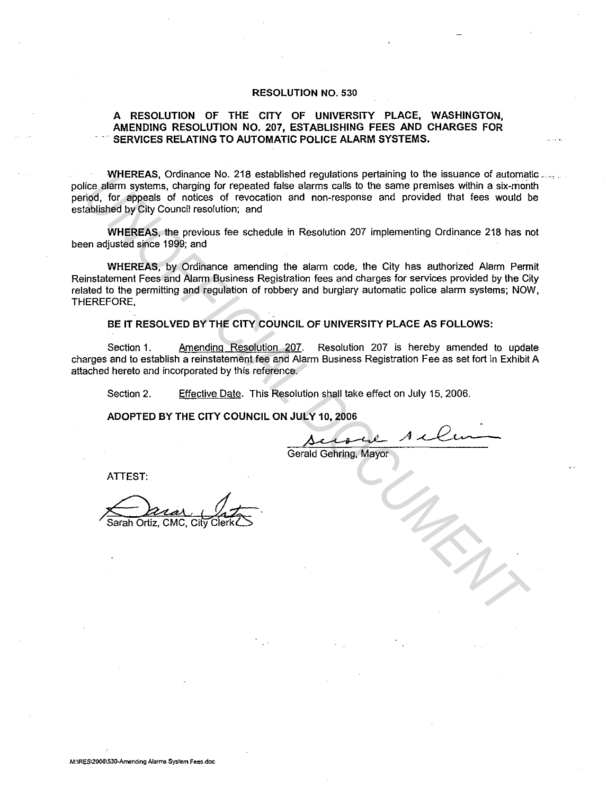## RESOLUTION NO. 530

## A RESOLUTION OF THE CITY OF UNIVERSITY PLACE, WASHINGTON, AMENDING RESOLUTION NO. 207, ESTABLISHING FEES AND CHARGES FOR SERVICES RELATING TO AUTOMATIC POLICE ALARM SYSTEMS.

WHEREAS, Ordinance No. 218 established regulations pertaining to the issuance of automatic ....... police alarm systems, charging for repeated false alarms calls to the same premises within a six-month period, for appeals of notices of revocation and non-response and provided that fees would be established by City Council resolution; and

WHEREAS, the previous fee schedule in Resolution 207 implementing Ordinance 218 has not been adjusted since 1999; and

WHEREAS, by Ordinance amending the alarm code, the City has authorized Alarm Permit Reinstatement Fees and Alarm Business Registration fees and charges for services provided by the City related to the permitting and regulation of robbery and burglary automatic police alarm systems; NOW, THEREFORE, **WHEREAS, Ordinators No. 218 estiblished regulations personnelly to the issue of such and<br>idea and regulated files elarning able to the same premises within a six-mon<br>debisited by City Council resolution, and<br>able to spoke** 

BE IT RESOLVED BY THE CITY COUNCIL OF UNIVERSITY PLACE AS FOLLOWS:

Section 1. Amending Resolution 207. Resolution 207 is hereby amended to update charges and to establish a reinstatement fee and Alarm Business Registration Fee as set fort in Exhibit A attached hereto and incorporated by this reference.

Section 2. Effective Date. This Resolution shall take effect on July 15, 2006.

ADOPTED BY THE CITY COUNCIL ON JULY 10, 2006

 $\Delta$  clock Acline

Gerald Gehring, Mayor

ATTEST: